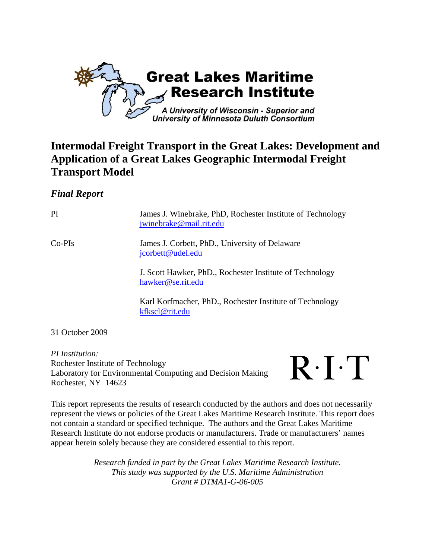

## **Intermodal Freight Transport in the Great Lakes: Development and Application of a Great Lakes Geographic Intermodal Freight Transport Model**

## *Final Report*

PI James J. Winebrake, PhD, Rochester Institute of Technology jwinebrake@mail.rit.edu Co-PIs James J. Corbett, PhD., University of Delaware jcorbett@udel.edu J. Scott Hawker, PhD., Rochester Institute of Technology hawker@se.rit.edu Karl Korfmacher, PhD., Rochester Institute of Technology kfkscl@rit.edu

31 October 2009

*PI Institution:*  Rochester Institute of Technology Laboratory for Environmental Computing and Decision Making Rochester, NY 14623



This report represents the results of research conducted by the authors and does not necessarily represent the views or policies of the Great Lakes Maritime Research Institute. This report does not contain a standard or specified technique. The authors and the Great Lakes Maritime Research Institute do not endorse products or manufacturers. Trade or manufacturers' names appear herein solely because they are considered essential to this report.

> *Research funded in part by the Great Lakes Maritime Research Institute. This study was supported by the U.S. Maritime Administration Grant # DTMA1-G-06-005*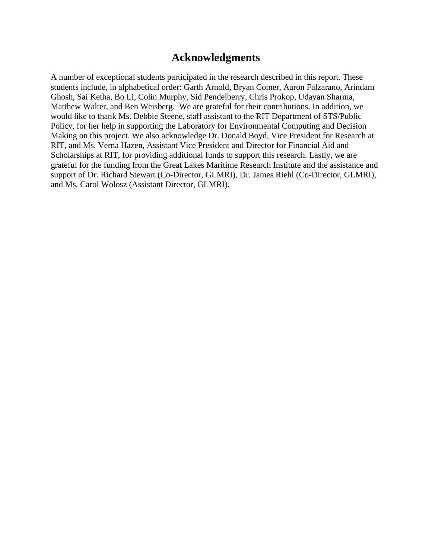## **Acknowledgments**

A number of exceptional students participated in the research described in this report. These students include, in alphabetical order: Garth Arnold, Bryan Comer, Aaron Falzarano, Arindam Ghosh, Sai Ketha, Bo Li, Colin Murphy, Sid Pendelberry, Chris Prokop, Udayan Sharma, Matthew Walter, and Ben Weisberg. We are grateful for their contributions. In addition, we would like to thank Ms. Debbie Steene, staff assistant to the RIT Department of STS/Public Policy, for her help in supporting the Laboratory for Environmental Computing and Decision Making on this project. We also acknowledge Dr. Donald Boyd, Vice President for Research at RIT, and Ms. Verna Hazen, Assistant Vice President and Director for Financial Aid and Scholarships at RIT, for providing additional funds to support this research. Lastly, we are grateful for the funding from the Great Lakes Maritime Research Institute and the assistance and support of Dr. Richard Stewart (Co-Director, GLMRI), Dr. James Riehl (Co-Director, GLMRI), and Ms. Carol Wolosz (Assistant Director, GLMRI).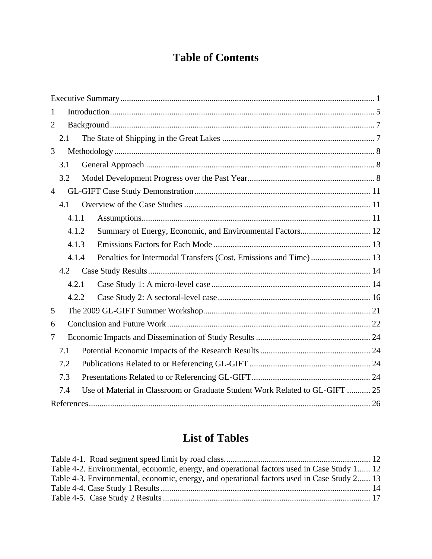## **Table of Contents**

| 1              |       |                                                                              |  |
|----------------|-------|------------------------------------------------------------------------------|--|
| $\overline{2}$ |       |                                                                              |  |
|                | 2.1   |                                                                              |  |
| 3              |       |                                                                              |  |
|                | 3.1   |                                                                              |  |
|                | 3.2   |                                                                              |  |
| $\overline{4}$ |       |                                                                              |  |
|                | 4.1   |                                                                              |  |
|                | 4.1.1 |                                                                              |  |
|                | 4.1.2 |                                                                              |  |
|                | 4.1.3 |                                                                              |  |
|                | 4.1.4 |                                                                              |  |
|                | 4.2   |                                                                              |  |
|                | 4.2.1 |                                                                              |  |
|                | 4.2.2 |                                                                              |  |
| 5              |       |                                                                              |  |
| 6              |       |                                                                              |  |
| 7              |       |                                                                              |  |
|                | 7.1   |                                                                              |  |
|                | 7.2   |                                                                              |  |
|                | 7.3   |                                                                              |  |
|                | 7.4   | Use of Material in Classroom or Graduate Student Work Related to GL-GIFT  25 |  |
|                |       |                                                                              |  |

# **List of Tables**

| Table 4-2. Environmental, economic, energy, and operational factors used in Case Study 1 12 |  |
|---------------------------------------------------------------------------------------------|--|
| Table 4-3. Environmental, economic, energy, and operational factors used in Case Study 2 13 |  |
|                                                                                             |  |
|                                                                                             |  |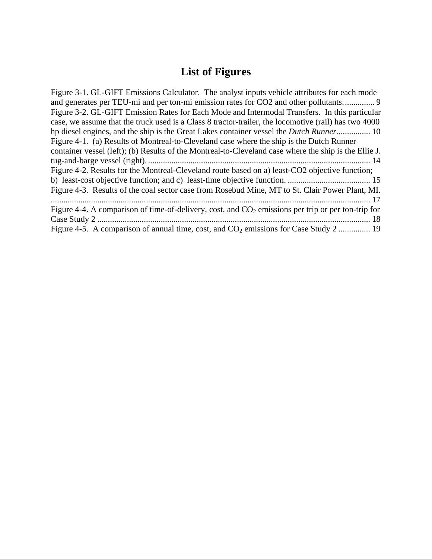# **List of Figures**

| Figure 3-1. GL-GIFT Emissions Calculator. The analyst inputs vehicle attributes for each mode         |
|-------------------------------------------------------------------------------------------------------|
| and generates per TEU-mi and per ton-mi emission rates for CO2 and other pollutants 9                 |
| Figure 3-2. GL-GIFT Emission Rates for Each Mode and Intermodal Transfers. In this particular         |
| case, we assume that the truck used is a Class 8 tractor-trailer, the locomotive (rail) has two 4000  |
| hp diesel engines, and the ship is the Great Lakes container vessel the <i>Dutch Runner</i> 10        |
| Figure 4-1. (a) Results of Montreal-to-Cleveland case where the ship is the Dutch Runner              |
| container vessel (left); (b) Results of the Montreal-to-Cleveland case where the ship is the Ellie J. |
|                                                                                                       |
| Figure 4-2. Results for the Montreal-Cleveland route based on a) least-CO2 objective function;        |
|                                                                                                       |
| Figure 4-3. Results of the coal sector case from Rosebud Mine, MT to St. Clair Power Plant, MI.       |
|                                                                                                       |
| Figure 4-4. A comparison of time-of-delivery, cost, and $CO2$ emissions per trip or per ton-trip for  |
|                                                                                                       |
| Figure 4-5. A comparison of annual time, cost, and $CO_2$ emissions for Case Study 2  19              |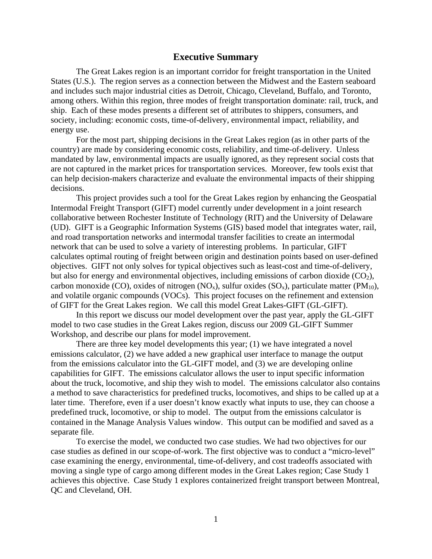#### **Executive Summary**

The Great Lakes region is an important corridor for freight transportation in the United States (U.S.). The region serves as a connection between the Midwest and the Eastern seaboard and includes such major industrial cities as Detroit, Chicago, Cleveland, Buffalo, and Toronto, among others. Within this region, three modes of freight transportation dominate: rail, truck, and ship. Each of these modes presents a different set of attributes to shippers, consumers, and society, including: economic costs, time-of-delivery, environmental impact, reliability, and energy use.

For the most part, shipping decisions in the Great Lakes region (as in other parts of the country) are made by considering economic costs, reliability, and time-of-delivery. Unless mandated by law, environmental impacts are usually ignored, as they represent social costs that are not captured in the market prices for transportation services. Moreover, few tools exist that can help decision-makers characterize and evaluate the environmental impacts of their shipping decisions.

This project provides such a tool for the Great Lakes region by enhancing the Geospatial Intermodal Freight Transport (GIFT) model currently under development in a joint research collaborative between Rochester Institute of Technology (RIT) and the University of Delaware (UD). GIFT is a Geographic Information Systems (GIS) based model that integrates water, rail, and road transportation networks and intermodal transfer facilities to create an intermodal network that can be used to solve a variety of interesting problems. In particular, GIFT calculates optimal routing of freight between origin and destination points based on user-defined objectives. GIFT not only solves for typical objectives such as least-cost and time-of-delivery, but also for energy and environmental objectives, including emissions of carbon dioxide  $(CO<sub>2</sub>)$ , carbon monoxide (CO), oxides of nitrogen (NO<sub>x</sub>), sulfur oxides (SO<sub>x</sub>), particulate matter (PM<sub>10</sub>), and volatile organic compounds (VOCs). This project focuses on the refinement and extension of GIFT for the Great Lakes region. We call this model Great Lakes-GIFT (GL-GIFT).

In this report we discuss our model development over the past year, apply the GL-GIFT model to two case studies in the Great Lakes region, discuss our 2009 GL-GIFT Summer Workshop, and describe our plans for model improvement.

There are three key model developments this year; (1) we have integrated a novel emissions calculator, (2) we have added a new graphical user interface to manage the output from the emissions calculator into the GL-GIFT model, and (3) we are developing online capabilities for GIFT. The emissions calculator allows the user to input specific information about the truck, locomotive, and ship they wish to model. The emissions calculator also contains a method to save characteristics for predefined trucks, locomotives, and ships to be called up at a later time. Therefore, even if a user doesn't know exactly what inputs to use, they can choose a predefined truck, locomotive, or ship to model. The output from the emissions calculator is contained in the Manage Analysis Values window. This output can be modified and saved as a separate file.

To exercise the model, we conducted two case studies. We had two objectives for our case studies as defined in our scope-of-work. The first objective was to conduct a "micro-level" case examining the energy, environmental, time-of-delivery, and cost tradeoffs associated with moving a single type of cargo among different modes in the Great Lakes region; Case Study 1 achieves this objective. Case Study 1 explores containerized freight transport between Montreal, QC and Cleveland, OH.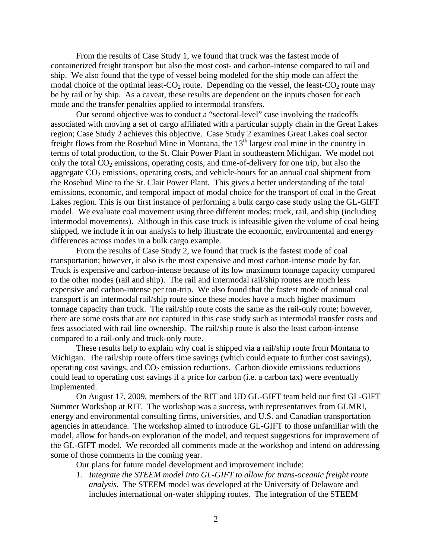From the results of Case Study 1, we found that truck was the fastest mode of containerized freight transport but also the most cost- and carbon-intense compared to rail and ship. We also found that the type of vessel being modeled for the ship mode can affect the modal choice of the optimal least- $CO_2$  route. Depending on the vessel, the least- $CO_2$  route may be by rail or by ship. As a caveat, these results are dependent on the inputs chosen for each mode and the transfer penalties applied to intermodal transfers.

Our second objective was to conduct a "sectoral-level" case involving the tradeoffs associated with moving a set of cargo affiliated with a particular supply chain in the Great Lakes region; Case Study 2 achieves this objective. Case Study 2 examines Great Lakes coal sector freight flows from the Rosebud Mine in Montana, the  $13<sup>th</sup>$  largest coal mine in the country in terms of total production, to the St. Clair Power Plant in southeastern Michigan. We model not only the total  $CO<sub>2</sub>$  emissions, operating costs, and time-of-delivery for one trip, but also the aggregate  $CO<sub>2</sub>$  emissions, operating costs, and vehicle-hours for an annual coal shipment from the Rosebud Mine to the St. Clair Power Plant. This gives a better understanding of the total emissions, economic, and temporal impact of modal choice for the transport of coal in the Great Lakes region. This is our first instance of performing a bulk cargo case study using the GL-GIFT model. We evaluate coal movement using three different modes: truck, rail, and ship (including intermodal movements). Although in this case truck is infeasible given the volume of coal being shipped, we include it in our analysis to help illustrate the economic, environmental and energy differences across modes in a bulk cargo example.

From the results of Case Study 2, we found that truck is the fastest mode of coal transportation; however, it also is the most expensive and most carbon-intense mode by far. Truck is expensive and carbon-intense because of its low maximum tonnage capacity compared to the other modes (rail and ship). The rail and intermodal rail/ship routes are much less expensive and carbon-intense per ton-trip. We also found that the fastest mode of annual coal transport is an intermodal rail/ship route since these modes have a much higher maximum tonnage capacity than truck. The rail/ship route costs the same as the rail-only route; however, there are some costs that are not captured in this case study such as intermodal transfer costs and fees associated with rail line ownership. The rail/ship route is also the least carbon-intense compared to a rail-only and truck-only route.

These results help to explain why coal is shipped via a rail/ship route from Montana to Michigan. The rail/ship route offers time savings (which could equate to further cost savings), operating cost savings, and  $CO<sub>2</sub>$  emission reductions. Carbon dioxide emissions reductions could lead to operating cost savings if a price for carbon (i.e. a carbon tax) were eventually implemented.

On August 17, 2009, members of the RIT and UD GL-GIFT team held our first GL-GIFT Summer Workshop at RIT. The workshop was a success, with representatives from GLMRI, energy and environmental consulting firms, universities, and U.S. and Canadian transportation agencies in attendance. The workshop aimed to introduce GL-GIFT to those unfamiliar with the model, allow for hands-on exploration of the model, and request suggestions for improvement of the GL-GIFT model. We recorded all comments made at the workshop and intend on addressing some of those comments in the coming year.

Our plans for future model development and improvement include:

*1. Integrate the STEEM model into GL-GIFT to allow for trans-oceanic freight route analysis.* The STEEM model was developed at the University of Delaware and includes international on-water shipping routes. The integration of the STEEM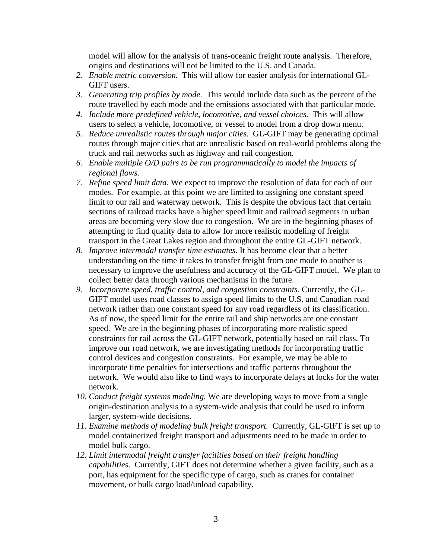model will allow for the analysis of trans-oceanic freight route analysis. Therefore, origins and destinations will not be limited to the U.S. and Canada.

- *2. Enable metric conversion.* This will allow for easier analysis for international GL-GIFT users.
- *3. Generating trip profiles by mode.* This would include data such as the percent of the route travelled by each mode and the emissions associated with that particular mode.
- *4. Include more predefined vehicle, locomotive, and vessel choices.* This will allow users to select a vehicle, locomotive, or vessel to model from a drop down menu.
- *5. Reduce unrealistic routes through major cities.* GL-GIFT may be generating optimal routes through major cities that are unrealistic based on real-world problems along the truck and rail networks such as highway and rail congestion.
- *6. Enable multiple O/D pairs to be run programmatically to model the impacts of regional flows.*
- *7. Refine speed limit data.* We expect to improve the resolution of data for each of our modes. For example, at this point we are limited to assigning one constant speed limit to our rail and waterway network. This is despite the obvious fact that certain sections of railroad tracks have a higher speed limit and railroad segments in urban areas are becoming very slow due to congestion. We are in the beginning phases of attempting to find quality data to allow for more realistic modeling of freight transport in the Great Lakes region and throughout the entire GL-GIFT network.
- *8. Improve intermodal transfer time estimates.* It has become clear that a better understanding on the time it takes to transfer freight from one mode to another is necessary to improve the usefulness and accuracy of the GL-GIFT model. We plan to collect better data through various mechanisms in the future.
- *9. Incorporate speed, traffic control, and congestion constraints.* Currently, the GL-GIFT model uses road classes to assign speed limits to the U.S. and Canadian road network rather than one constant speed for any road regardless of its classification. As of now, the speed limit for the entire rail and ship networks are one constant speed. We are in the beginning phases of incorporating more realistic speed constraints for rail across the GL-GIFT network, potentially based on rail class. To improve our road network, we are investigating methods for incorporating traffic control devices and congestion constraints. For example, we may be able to incorporate time penalties for intersections and traffic patterns throughout the network. We would also like to find ways to incorporate delays at locks for the water network.
- *10. Conduct freight systems modeling.* We are developing ways to move from a single origin-destination analysis to a system-wide analysis that could be used to inform larger, system-wide decisions.
- *11. Examine methods of modeling bulk freight transport.* Currently, GL-GIFT is set up to model containerized freight transport and adjustments need to be made in order to model bulk cargo.
- *12. Limit intermodal freight transfer facilities based on their freight handling capabilities.* Currently, GIFT does not determine whether a given facility, such as a port, has equipment for the specific type of cargo, such as cranes for container movement, or bulk cargo load/unload capability.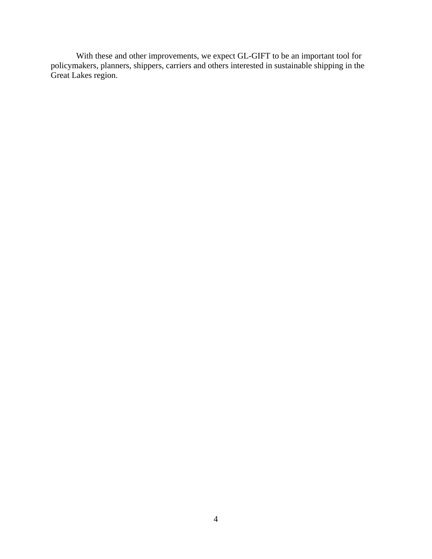With these and other improvements, we expect GL-GIFT to be an important tool for policymakers, planners, shippers, carriers and others interested in sustainable shipping in the Great Lakes region.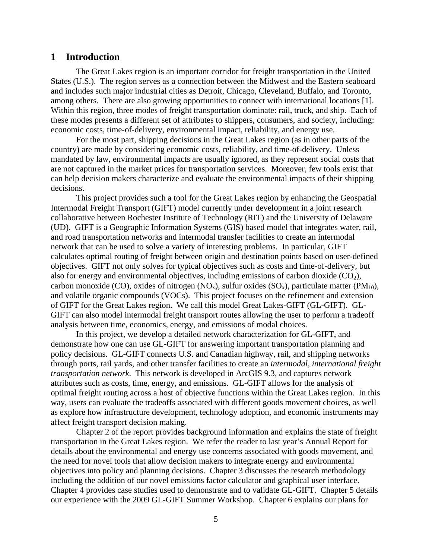#### **1 Introduction**

The Great Lakes region is an important corridor for freight transportation in the United States (U.S.). The region serves as a connection between the Midwest and the Eastern seaboard and includes such major industrial cities as Detroit, Chicago, Cleveland, Buffalo, and Toronto, among others. There are also growing opportunities to connect with international locations [1]. Within this region, three modes of freight transportation dominate: rail, truck, and ship. Each of these modes presents a different set of attributes to shippers, consumers, and society, including: economic costs, time-of-delivery, environmental impact, reliability, and energy use.

For the most part, shipping decisions in the Great Lakes region (as in other parts of the country) are made by considering economic costs, reliability, and time-of-delivery. Unless mandated by law, environmental impacts are usually ignored, as they represent social costs that are not captured in the market prices for transportation services. Moreover, few tools exist that can help decision makers characterize and evaluate the environmental impacts of their shipping decisions.

This project provides such a tool for the Great Lakes region by enhancing the Geospatial Intermodal Freight Transport (GIFT) model currently under development in a joint research collaborative between Rochester Institute of Technology (RIT) and the University of Delaware (UD). GIFT is a Geographic Information Systems (GIS) based model that integrates water, rail, and road transportation networks and intermodal transfer facilities to create an intermodal network that can be used to solve a variety of interesting problems. In particular, GIFT calculates optimal routing of freight between origin and destination points based on user-defined objectives. GIFT not only solves for typical objectives such as costs and time-of-delivery, but also for energy and environmental objectives, including emissions of carbon dioxide  $(CO<sub>2</sub>)$ , carbon monoxide (CO), oxides of nitrogen (NO<sub>x</sub>), sulfur oxides (SO<sub>x</sub>), particulate matter (PM<sub>10</sub>), and volatile organic compounds (VOCs). This project focuses on the refinement and extension of GIFT for the Great Lakes region. We call this model Great Lakes-GIFT (GL-GIFT). GL-GIFT can also model intermodal freight transport routes allowing the user to perform a tradeoff analysis between time, economics, energy, and emissions of modal choices.

In this project, we develop a detailed network characterization for GL-GIFT, and demonstrate how one can use GL-GIFT for answering important transportation planning and policy decisions. GL-GIFT connects U.S. and Canadian highway, rail, and shipping networks through ports, rail yards, and other transfer facilities to create an *intermodal, international freight transportation network*. This network is developed in ArcGIS 9.3, and captures network attributes such as costs, time, energy, and emissions. GL-GIFT allows for the analysis of optimal freight routing across a host of objective functions within the Great Lakes region. In this way, users can evaluate the tradeoffs associated with different goods movement choices, as well as explore how infrastructure development, technology adoption, and economic instruments may affect freight transport decision making.

Chapter 2 of the report provides background information and explains the state of freight transportation in the Great Lakes region. We refer the reader to last year's Annual Report for details about the environmental and energy use concerns associated with goods movement, and the need for novel tools that allow decision makers to integrate energy and environmental objectives into policy and planning decisions. Chapter 3 discusses the research methodology including the addition of our novel emissions factor calculator and graphical user interface. Chapter 4 provides case studies used to demonstrate and to validate GL-GIFT. Chapter 5 details our experience with the 2009 GL-GIFT Summer Workshop. Chapter 6 explains our plans for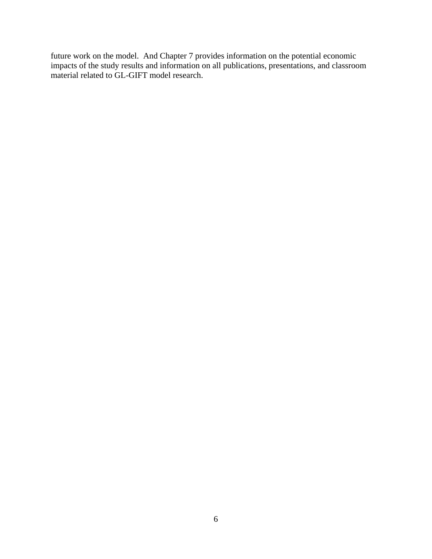future work on the model. And Chapter 7 provides information on the potential economic impacts of the study results and information on all publications, presentations, and classroom material related to GL-GIFT model research.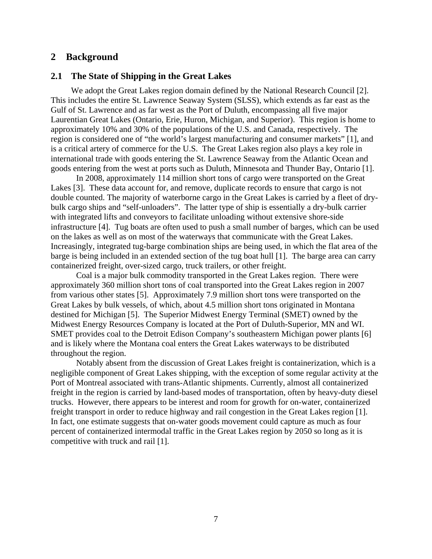#### **2 Background**

#### **2.1 The State of Shipping in the Great Lakes**

We adopt the Great Lakes region domain defined by the National Research Council [2]. This includes the entire St. Lawrence Seaway System (SLSS), which extends as far east as the Gulf of St. Lawrence and as far west as the Port of Duluth, encompassing all five major Laurentian Great Lakes (Ontario, Erie, Huron, Michigan, and Superior). This region is home to approximately 10% and 30% of the populations of the U.S. and Canada, respectively. The region is considered one of "the world's largest manufacturing and consumer markets" [1], and is a critical artery of commerce for the U.S. The Great Lakes region also plays a key role in international trade with goods entering the St. Lawrence Seaway from the Atlantic Ocean and goods entering from the west at ports such as Duluth, Minnesota and Thunder Bay, Ontario [1].

 In 2008, approximately 114 million short tons of cargo were transported on the Great Lakes [3]. These data account for, and remove, duplicate records to ensure that cargo is not double counted. The majority of waterborne cargo in the Great Lakes is carried by a fleet of drybulk cargo ships and "self-unloaders". The latter type of ship is essentially a dry-bulk carrier with integrated lifts and conveyors to facilitate unloading without extensive shore-side infrastructure [4]. Tug boats are often used to push a small number of barges, which can be used on the lakes as well as on most of the waterways that communicate with the Great Lakes. Increasingly, integrated tug-barge combination ships are being used, in which the flat area of the barge is being included in an extended section of the tug boat hull [1]. The barge area can carry containerized freight, over-sized cargo, truck trailers, or other freight.

 Coal is a major bulk commodity transported in the Great Lakes region. There were approximately 360 million short tons of coal transported into the Great Lakes region in 2007 from various other states [5]. Approximately 7.9 million short tons were transported on the Great Lakes by bulk vessels, of which, about 4.5 million short tons originated in Montana destined for Michigan [5]. The Superior Midwest Energy Terminal (SMET) owned by the Midwest Energy Resources Company is located at the Port of Duluth-Superior, MN and WI. SMET provides coal to the Detroit Edison Company's southeastern Michigan power plants [6] and is likely where the Montana coal enters the Great Lakes waterways to be distributed throughout the region.

 Notably absent from the discussion of Great Lakes freight is containerization, which is a negligible component of Great Lakes shipping, with the exception of some regular activity at the Port of Montreal associated with trans-Atlantic shipments. Currently, almost all containerized freight in the region is carried by land-based modes of transportation, often by heavy-duty diesel trucks. However, there appears to be interest and room for growth for on-water, containerized freight transport in order to reduce highway and rail congestion in the Great Lakes region [1]. In fact, one estimate suggests that on-water goods movement could capture as much as four percent of containerized intermodal traffic in the Great Lakes region by 2050 so long as it is competitive with truck and rail [1].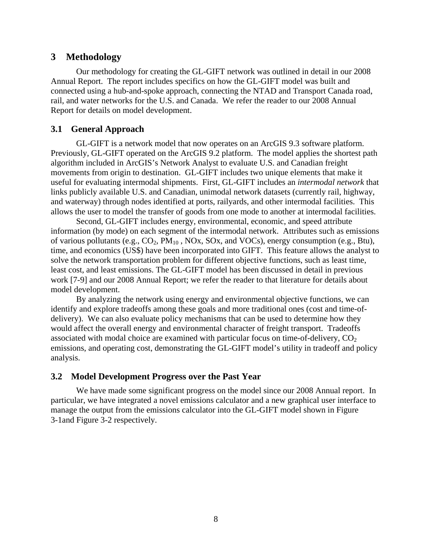#### **3 Methodology**

Our methodology for creating the GL-GIFT network was outlined in detail in our 2008 Annual Report. The report includes specifics on how the GL-GIFT model was built and connected using a hub-and-spoke approach, connecting the NTAD and Transport Canada road, rail, and water networks for the U.S. and Canada. We refer the reader to our 2008 Annual Report for details on model development.

#### **3.1 General Approach**

GL-GIFT is a network model that now operates on an ArcGIS 9.3 software platform. Previously, GL-GIFT operated on the ArcGIS 9.2 platform. The model applies the shortest path algorithm included in ArcGIS's Network Analyst to evaluate U.S. and Canadian freight movements from origin to destination. GL-GIFT includes two unique elements that make it useful for evaluating intermodal shipments. First, GL-GIFT includes an *intermodal network* that links publicly available U.S. and Canadian, unimodal network datasets (currently rail, highway, and waterway) through nodes identified at ports, railyards, and other intermodal facilities. This allows the user to model the transfer of goods from one mode to another at intermodal facilities.

Second, GL-GIFT includes energy, environmental, economic, and speed attribute information (by mode) on each segment of the intermodal network. Attributes such as emissions of various pollutants (e.g.,  $CO_2$ ,  $PM_{10}$ ,  $NOX$ ,  $SOX$ , and  $VOCs$ ), energy consumption (e.g., Btu), time, and economics (US\$) have been incorporated into GIFT. This feature allows the analyst to solve the network transportation problem for different objective functions, such as least time, least cost, and least emissions. The GL-GIFT model has been discussed in detail in previous work [7-9] and our 2008 Annual Report; we refer the reader to that literature for details about model development.

By analyzing the network using energy and environmental objective functions, we can identify and explore tradeoffs among these goals and more traditional ones (cost and time-ofdelivery). We can also evaluate policy mechanisms that can be used to determine how they would affect the overall energy and environmental character of freight transport. Tradeoffs associated with modal choice are examined with particular focus on time-of-delivery,  $CO<sub>2</sub>$ emissions, and operating cost, demonstrating the GL-GIFT model's utility in tradeoff and policy analysis.

#### **3.2 Model Development Progress over the Past Year**

We have made some significant progress on the model since our 2008 Annual report. In particular, we have integrated a novel emissions calculator and a new graphical user interface to manage the output from the emissions calculator into the GL-GIFT model shown in Figure 3-1and Figure 3-2 respectively.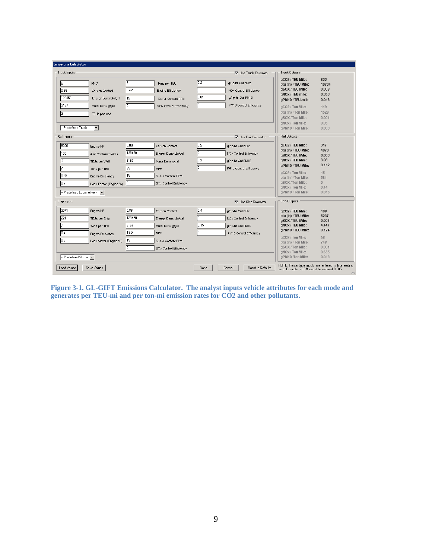| <b>Emissions Calculator</b>                                                                                                                                                    |                                                                                                                                                                     |                                                                                                                      |                                                                                                                                                                                                                |                                                                                       |
|--------------------------------------------------------------------------------------------------------------------------------------------------------------------------------|---------------------------------------------------------------------------------------------------------------------------------------------------------------------|----------------------------------------------------------------------------------------------------------------------|----------------------------------------------------------------------------------------------------------------------------------------------------------------------------------------------------------------|---------------------------------------------------------------------------------------|
| Truck Inputs                                                                                                                                                                   |                                                                                                                                                                     | V Use Truck Calculator                                                                                               | <b>Truck Dutputs</b>                                                                                                                                                                                           |                                                                                       |
| <b>MPG</b><br>16<br>0.86<br>Carbon Content<br>128450<br>Energy Dens btu/gal<br>3167<br>Mass Dens g/gal<br>TEUs per load<br>-- Predefined Truck --<br>$\vert \cdot \vert$       | Tons per TEU<br>0.42<br>Engine Efficiency<br>15<br>Sulfur Content PPM<br>I٥<br>SOx Control Efficiency                                                               | 0.2<br>g/hp-hr Out NOx<br>lo<br>NOx Control Efficiency<br>0.01<br>g/hp-hr Out PM10<br>lo.<br>PM10 Control Efficiency | gCO2 / TEU Mile:<br>btu (in) / TEU Mile:<br>gSOX / TEU Mile:<br>gNOx / TEU-mile:<br>aPM10 / TEU-mile:<br>aCO2 / Ton Mile:<br>btu (in) / Ton Mile:<br>gSOX / Ton Mile:<br>aNOx / Ton Mile:<br>gPM10 / Ton Mile: | 833<br>10704<br>0.008<br>0.353<br>0.018<br>119<br>1529<br>0.001<br>0.05<br>0.003      |
| Rail Inputs                                                                                                                                                                    |                                                                                                                                                                     | V Use Rail Calculator                                                                                                | Rail Outputs                                                                                                                                                                                                   |                                                                                       |
| 8000<br>Engine HP<br>100<br># of Container Wells<br>TEUs per Well<br>Tons per TEU<br>0.35<br>Engine Efficiency<br>0.7<br>Load Factor (Engine %)<br>- Predefined Locomotive - - | 0.86<br>Carbon Content<br>128450<br>Energy Dens btu/gal<br>3167<br>Mass Dens g/gal<br>25<br><b>MPH</b><br>15<br>Sulfur Content PPM<br>Iо<br>SOx Control Efficiency  | 5.5<br>g/hp-hr Out NOx<br>o<br>NOx Control Efficiency<br>0.2<br>a/hp-hr Out PM10<br>lo<br>PM10 Control Efficiency    | aCO2 / TEU Mile:<br>btu (in) / TEU Mile:<br>aSOX / TEU Mile:<br>gNOx / TEU Mile:<br>gPM10 / TEU Mile:<br>gCO2 / Ton Mile:<br>btu (in )/ Ton Mile:<br>gSOX / Ton Mile:<br>gNOx / Ton Mile:<br>gPM10 / Ton Mile: | 317<br>4070<br>0.003<br>3.08<br>0.112<br>45<br>581<br>$\overline{0}$<br>0.44<br>0.016 |
| Ship Inputs                                                                                                                                                                    |                                                                                                                                                                     | √ Use Ship Calculator                                                                                                | Ship Outputs                                                                                                                                                                                                   |                                                                                       |
| 3071<br>Engine HP<br>221<br>TEUs per Ship<br>Tons per TEU<br>10.4<br>Engine Efficiency<br>10.8<br>Load factor (Engine %)<br>- Predefined Ship -                                | 0.86<br>Carbon Content<br>128450<br>Energy Dens btu/gal<br>3167<br>Mass Dens g/gal<br>13.5<br><b>MPH</b><br>15<br>Sulfur Content PPM<br>Ō<br>SOx Control Efficiency | 5.4<br>g/hp-hr Out NOx<br>lo.<br>NOx Control Efficiency<br>0.15<br>g/hp-hr Out PM10<br>lo<br>PM10 Control Efficiency | gCO2 / TEU Mile:<br>btu (in) / TEU Mile:<br>gSOX / TEU Mile:<br>aNOx / TEU Mile:<br>aPM10 / TEU Mile:<br>aCO2 / Ton Mile:<br>btu (in) / Ton Mile:<br>gSOX / Ton Mile:<br>aNOx / Ton Mile:<br>gPM10 /Ton Mile:  | 408<br>5237<br>0.004<br>4.447<br>0.124<br>58<br>748<br>0.001<br>0.635<br>0.018        |
| Load Values<br>Save Values                                                                                                                                                     |                                                                                                                                                                     | Reset to Defaults<br>Done<br>Cancel                                                                                  | zero, Example: 20.5% would be entered 0.205                                                                                                                                                                    | NOTE: Percentage inputs are entered with a leading                                    |

**Figure 3-1. GL-GIFT Emissions Calculator. The analyst inputs vehicle attributes for each mode and generates per TEU-mi and per ton-mi emission rates for CO2 and other pollutants.**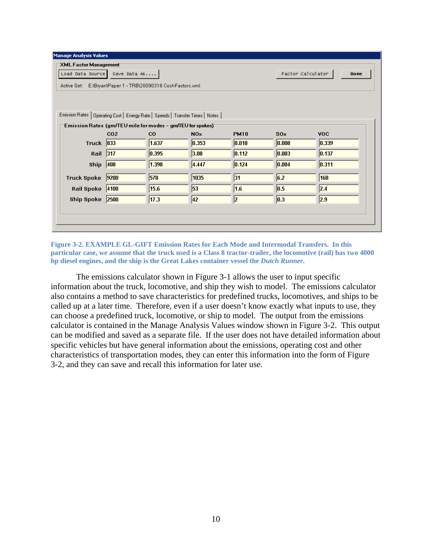| XML Factor Management                                         |             |                  |                                                                                                                                                 |       |            |  |  |  |  |
|---------------------------------------------------------------|-------------|------------------|-------------------------------------------------------------------------------------------------------------------------------------------------|-------|------------|--|--|--|--|
| Load Data Source<br>Save Data As<br>Factor Calculator<br>Done |             |                  |                                                                                                                                                 |       |            |  |  |  |  |
| Active Set: E:\Bryan\Paper 1 - TRB\20090316 Cost-Factors.xml  |             |                  |                                                                                                                                                 |       |            |  |  |  |  |
|                                                               |             |                  |                                                                                                                                                 |       |            |  |  |  |  |
|                                                               |             |                  |                                                                                                                                                 |       |            |  |  |  |  |
|                                                               |             |                  |                                                                                                                                                 |       |            |  |  |  |  |
|                                                               |             |                  |                                                                                                                                                 |       |            |  |  |  |  |
| CO <sub>2</sub>                                               | $_{\rm CO}$ | N <sub>O</sub> x | <b>PM10</b>                                                                                                                                     | 80x   | <b>VOC</b> |  |  |  |  |
| Truck $ 833 $                                                 | 1.637       | 0.353            | 0.018                                                                                                                                           | 0.008 | 0.339      |  |  |  |  |
| Rail 317                                                      | 0.395       | 3.08             | 0.112                                                                                                                                           | 0.003 | 0.137      |  |  |  |  |
| 408                                                           | 1.398       | 4.447            | 0.124                                                                                                                                           | 0.004 | 0.311      |  |  |  |  |
| 9200                                                          | 578         | 1035             | 31                                                                                                                                              | 6.2   | 168        |  |  |  |  |
| Rail Spoke 4100                                               | 15.6        | 53               | 1.6                                                                                                                                             | 0.5   | 2.4        |  |  |  |  |
| 2500                                                          | 17.3        | 42               | 2                                                                                                                                               | 0.3   | 2.9        |  |  |  |  |
|                                                               |             |                  |                                                                                                                                                 |       |            |  |  |  |  |
|                                                               |             |                  |                                                                                                                                                 |       |            |  |  |  |  |
|                                                               |             |                  |                                                                                                                                                 |       |            |  |  |  |  |
|                                                               |             |                  | Emission Rates   Operating Cost   Energy Rate   Speeds   Transfer Times   Notes  <br>Emission Rates (gm/TEU mile for modes - gm/TEU for spokes) |       |            |  |  |  |  |

**Figure 3-2. EXAMPLE GL-GIFT Emission Rates for Each Mode and Intermodal Transfers. In this particular case, we assume that the truck used is a Class 8 tractor-trailer, the locomotive (rail) has two 4000 hp diesel engines, and the ship is the Great Lakes container vessel the** *Dutch Runner***.** 

The emissions calculator shown in Figure 3-1 allows the user to input specific information about the truck, locomotive, and ship they wish to model. The emissions calculator also contains a method to save characteristics for predefined trucks, locomotives, and ships to be called up at a later time. Therefore, even if a user doesn't know exactly what inputs to use, they can choose a predefined truck, locomotive, or ship to model. The output from the emissions calculator is contained in the Manage Analysis Values window shown in Figure 3-2. This output can be modified and saved as a separate file. If the user does not have detailed information about specific vehicles but have general information about the emissions, operating cost and other characteristics of transportation modes, they can enter this information into the form of Figure 3-2, and they can save and recall this information for later use.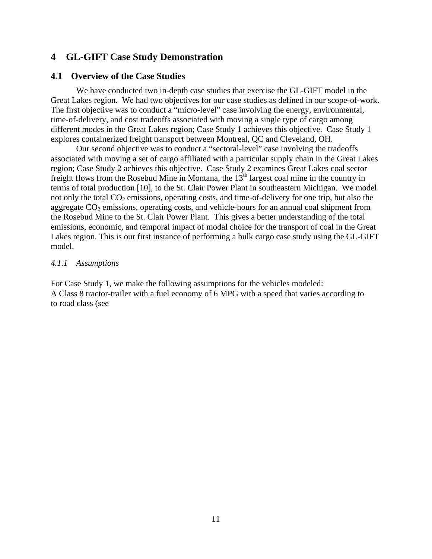## **4 GL-GIFT Case Study Demonstration**

#### **4.1 Overview of the Case Studies**

We have conducted two in-depth case studies that exercise the GL-GIFT model in the Great Lakes region. We had two objectives for our case studies as defined in our scope-of-work. The first objective was to conduct a "micro-level" case involving the energy, environmental, time-of-delivery, and cost tradeoffs associated with moving a single type of cargo among different modes in the Great Lakes region; Case Study 1 achieves this objective. Case Study 1 explores containerized freight transport between Montreal, QC and Cleveland, OH.

Our second objective was to conduct a "sectoral-level" case involving the tradeoffs associated with moving a set of cargo affiliated with a particular supply chain in the Great Lakes region; Case Study 2 achieves this objective. Case Study 2 examines Great Lakes coal sector freight flows from the Rosebud Mine in Montana, the  $13<sup>th</sup>$  largest coal mine in the country in terms of total production [10], to the St. Clair Power Plant in southeastern Michigan. We model not only the total  $CO_2$  emissions, operating costs, and time-of-delivery for one trip, but also the aggregate  $CO<sub>2</sub>$  emissions, operating costs, and vehicle-hours for an annual coal shipment from the Rosebud Mine to the St. Clair Power Plant. This gives a better understanding of the total emissions, economic, and temporal impact of modal choice for the transport of coal in the Great Lakes region. This is our first instance of performing a bulk cargo case study using the GL-GIFT model.

#### *4.1.1 Assumptions*

For Case Study 1, we make the following assumptions for the vehicles modeled: A Class 8 tractor-trailer with a fuel economy of 6 MPG with a speed that varies according to to road class (see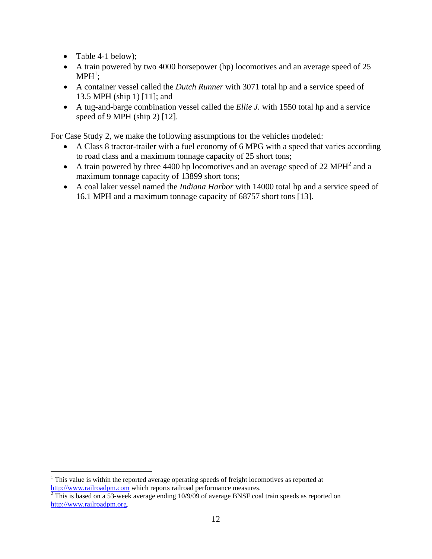• Table 4-1 below);

 $\overline{a}$ 

- A train powered by two 4000 horsepower (hp) locomotives and an average speed of 25  $\mathrm{MPH}^1;$
- A container vessel called the *Dutch Runner* with 3071 total hp and a service speed of 13.5 MPH (ship 1) [11]; and
- A tug-and-barge combination vessel called the *Ellie J.* with 1550 total hp and a service speed of 9 MPH (ship 2) [12].

For Case Study 2, we make the following assumptions for the vehicles modeled:

- A Class 8 tractor-trailer with a fuel economy of 6 MPG with a speed that varies according to road class and a maximum tonnage capacity of 25 short tons;
- A train powered by three 4400 hp locomotives and an average speed of 22 MPH<sup>2</sup> and a maximum tonnage capacity of 13899 short tons;
- A coal laker vessel named the *Indiana Harbor* with 14000 total hp and a service speed of 16.1 MPH and a maximum tonnage capacity of 68757 short tons [13].

 $1$  This value is within the reported average operating speeds of freight locomotives as reported at

http://www.railroadpm.com which reports railroad performance measures.<br><sup>2</sup> This is based on a 53-week average ending 10/9/09 of average BNSF coal train speeds as reported on http://www.railroadpm.org.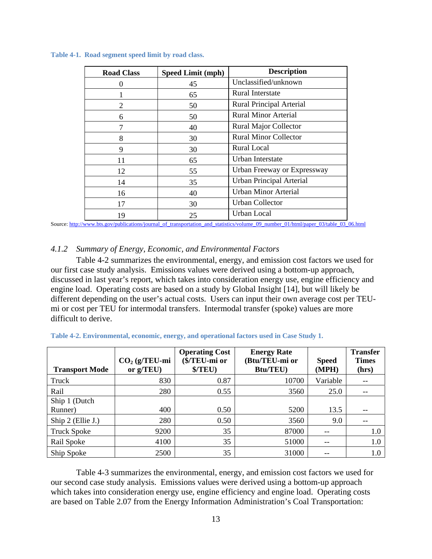| <b>Road Class</b>           | <b>Speed Limit (mph)</b> | <b>Description</b>           |
|-----------------------------|--------------------------|------------------------------|
|                             | 45                       | Unclassified/unknown         |
|                             | 65                       | Rural Interstate             |
| $\mathcal{D}_{\mathcal{L}}$ | 50                       | Rural Principal Arterial     |
| 6                           | 50                       | <b>Rural Minor Arterial</b>  |
|                             | 40                       | <b>Rural Major Collector</b> |
| 8                           | 30                       | <b>Rural Minor Collector</b> |
| 9                           | 30                       | Rural Local                  |
| 11                          | 65                       | Urban Interstate             |
| 12                          | 55                       | Urban Freeway or Expressway  |
| 14                          | 35                       | Urban Principal Arterial     |
| 16                          | 40                       | <b>Urban Minor Arterial</b>  |
| 17                          | 30                       | <b>Urban Collector</b>       |
| 19                          | 25                       | Urban Local                  |

**Table 4-1. Road segment speed limit by road class.** 

Source: http://www.bts.gov/publications/journal\_of\_transportation\_and\_statistics/volume\_09\_number\_01/html/paper\_03/table\_03\_06.html

#### *4.1.2 Summary of Energy, Economic, and Environmental Factors*

Table 4-2 summarizes the environmental, energy, and emission cost factors we used for our first case study analysis. Emissions values were derived using a bottom-up approach, discussed in last year's report, which takes into consideration energy use, engine efficiency and engine load. Operating costs are based on a study by Global Insight [14], but will likely be different depending on the user's actual costs. Users can input their own average cost per TEUmi or cost per TEU for intermodal transfers. Intermodal transfer (spoke) values are more difficult to derive.

| <b>Transport Mode</b>    | $CO2$ (g/TEU-mi<br>or $g/TEU$ ) | <b>Operating Cost</b><br>(\$/TEU-mi or<br>\$/TEU) | <b>Energy Rate</b><br>(Btu/TEU-mi or<br><b>Btu/TEU)</b> | <b>Speed</b><br>(MPH) | <b>Transfer</b><br><b>Times</b><br>(hrs) |
|--------------------------|---------------------------------|---------------------------------------------------|---------------------------------------------------------|-----------------------|------------------------------------------|
| Truck                    | 830                             | 0.87                                              | 10700                                                   | Variable              |                                          |
| Rail                     | 280                             | 0.55                                              | 3560                                                    | 25.0                  |                                          |
| Ship 1 (Dutch<br>Runner) | 400                             | 0.50                                              | 5200                                                    | 13.5                  | --                                       |
| Ship $2$ (Ellie J.)      | 280                             | 0.50                                              | 3560                                                    | 9.0                   | $-$                                      |
| <b>Truck Spoke</b>       | 9200                            | 35                                                | 87000                                                   |                       | 1.0                                      |
| Rail Spoke               | 4100                            | 35                                                | 51000                                                   | $-$                   | 1.0                                      |
| Ship Spoke               | 2500                            | 35                                                | 31000                                                   |                       | 1.0                                      |

**Table 4-2. Environmental, economic, energy, and operational factors used in Case Study 1.** 

Table 4-3 summarizes the environmental, energy, and emission cost factors we used for our second case study analysis. Emissions values were derived using a bottom-up approach which takes into consideration energy use, engine efficiency and engine load. Operating costs are based on Table 2.07 from the Energy Information Administration's Coal Transportation: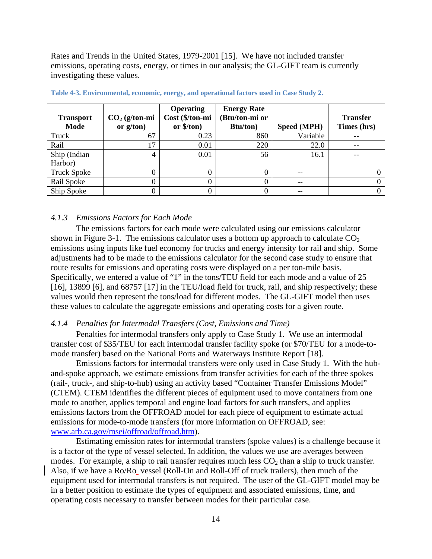Rates and Trends in the United States, 1979-2001 [15]. We have not included transfer emissions, operating costs, energy, or times in our analysis; the GL-GIFT team is currently investigating these values.

| <b>Transport</b><br>Mode | $CO2$ (g/ton-mi<br>or $g/ton$ ) | <b>Operating</b><br>Cost (\$/ton-mi<br>or $\frac{\sqrt{2}}{2}$ | <b>Energy Rate</b><br>(Btu/ton-mi or<br><b>Btu/ton)</b> | Speed (MPH) | <b>Transfer</b><br>Times (hrs) |
|--------------------------|---------------------------------|----------------------------------------------------------------|---------------------------------------------------------|-------------|--------------------------------|
| Truck                    | 67                              | 0.23                                                           | 860                                                     | Variable    | $- -$                          |
| Rail                     |                                 | 0.01                                                           | 220                                                     | 22.0        | $-$                            |
| Ship (Indian             |                                 | 0.01                                                           | 56                                                      | 16.1        |                                |
| Harbor)                  |                                 |                                                                |                                                         |             |                                |
| <b>Truck Spoke</b>       |                                 |                                                                | 0                                                       | $- -$       |                                |
| Rail Spoke               |                                 | 0                                                              | 0                                                       | --          |                                |
| Ship Spoke               |                                 | 0                                                              | 0                                                       |             |                                |

**Table 4-3. Environmental, economic, energy, and operational factors used in Case Study 2.** 

#### *4.1.3 Emissions Factors for Each Mode*

The emissions factors for each mode were calculated using our emissions calculator shown in Figure 3-1. The emissions calculator uses a bottom up approach to calculate  $CO<sub>2</sub>$ emissions using inputs like fuel economy for trucks and energy intensity for rail and ship. Some adjustments had to be made to the emissions calculator for the second case study to ensure that route results for emissions and operating costs were displayed on a per ton-mile basis. Specifically, we entered a value of "1" in the tons/TEU field for each mode and a value of 25 [16], 13899 [6], and 68757 [17] in the TEU/load field for truck, rail, and ship respectively; these values would then represent the tons/load for different modes. The GL-GIFT model then uses these values to calculate the aggregate emissions and operating costs for a given route.

#### *4.1.4 Penalties for Intermodal Transfers (Cost, Emissions and Time)*

Penalties for intermodal transfers only apply to Case Study 1. We use an intermodal transfer cost of \$35/TEU for each intermodal transfer facility spoke (or \$70/TEU for a mode-tomode transfer) based on the National Ports and Waterways Institute Report [18].

Emissions factors for intermodal transfers were only used in Case Study 1. With the huband-spoke approach, we estimate emissions from transfer activities for each of the three spokes (rail-, truck-, and ship-to-hub) using an activity based "Container Transfer Emissions Model" (CTEM). CTEM identifies the different pieces of equipment used to move containers from one mode to another, applies temporal and engine load factors for such transfers, and applies emissions factors from the OFFROAD model for each piece of equipment to estimate actual emissions for mode-to-mode transfers (for more information on OFFROAD, see: www.arb.ca.gov/msei/offroad/offroad.htm).

Estimating emission rates for intermodal transfers (spoke values) is a challenge because it is a factor of the type of vessel selected. In addition, the values we use are averages between modes. For example, a ship to rail transfer requires much less  $CO<sub>2</sub>$  than a ship to truck transfer. Also, if we have a Ro/Ro vessel (Roll-On and Roll-Off of truck trailers), then much of the equipment used for intermodal transfers is not required. The user of the GL-GIFT model may be in a better position to estimate the types of equipment and associated emissions, time, and operating costs necessary to transfer between modes for their particular case.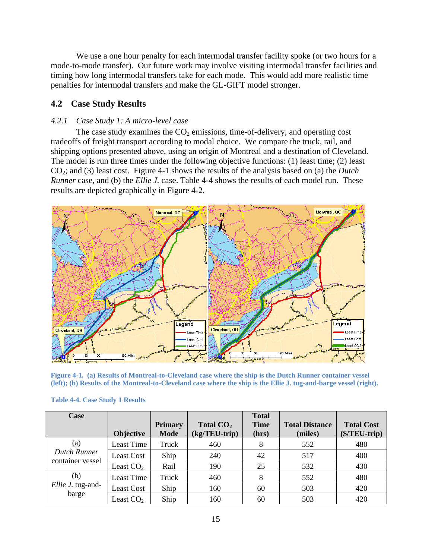We use a one hour penalty for each intermodal transfer facility spoke (or two hours for a mode-to-mode transfer). Our future work may involve visiting intermodal transfer facilities and timing how long intermodal transfers take for each mode. This would add more realistic time penalties for intermodal transfers and make the GL-GIFT model stronger.

#### **4.2 Case Study Results**

#### *4.2.1 Case Study 1: A micro-level case*

The case study examines the  $CO<sub>2</sub>$  emissions, time-of-delivery, and operating cost tradeoffs of freight transport according to modal choice. We compare the truck, rail, and shipping options presented above, using an origin of Montreal and a destination of Cleveland. The model is run three times under the following objective functions: (1) least time; (2) least CO2; and (3) least cost. Figure 4-1 shows the results of the analysis based on (a) the *Dutch Runner* case, and (b) the *Ellie J.* case. Table 4-4 shows the results of each model run. These results are depicted graphically in Figure 4-2.



**Figure 4-1. (a) Results of Montreal-to-Cleveland case where the ship is the Dutch Runner container vessel (left); (b) Results of the Montreal-to-Cleveland case where the ship is the Ellie J. tug-and-barge vessel (right).** 

| Case              |                   |                               |                              | <b>Total</b>         |                                  |                                     |
|-------------------|-------------------|-------------------------------|------------------------------|----------------------|----------------------------------|-------------------------------------|
|                   | <b>Objective</b>  | <b>Primary</b><br><b>Mode</b> | Total $CO2$<br>(kg/TEU-trip) | <b>Time</b><br>(hrs) | <b>Total Distance</b><br>(miles) | <b>Total Cost</b><br>$($/TEU-trip)$ |
| (a)               | Least Time        | Truck                         | 460                          | 8                    | 552                              | 480                                 |
| Dutch Runner      | Least Cost        | Ship                          | 240                          | 42                   | 517                              | 400                                 |
| container vessel  | Least $CO2$       | Rail                          | 190                          | 25                   | 532                              | 430                                 |
| (b)               | Least Time        | Truck                         | 460                          | 8                    | 552                              | 480                                 |
| Ellie J. tug-and- | <b>Least Cost</b> | Ship                          | 160                          | 60                   | 503                              | 420                                 |
| barge             | Least $CO2$       | Ship                          | 160                          | 60                   | 503                              | 420                                 |

#### **Table 4-4. Case Study 1 Results**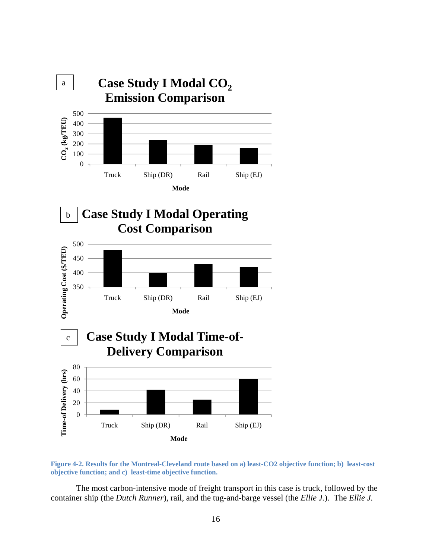

**Figure 4-2. Results for the Montreal-Cleveland route based on a) least-CO2 objective function; b) least-cost objective function; and c) least-time objective function.** 

 The most carbon-intensive mode of freight transport in this case is truck, followed by the container ship (the *Dutch Runner*), rail, and the tug-and-barge vessel (the *Ellie J.*). The *Ellie J.*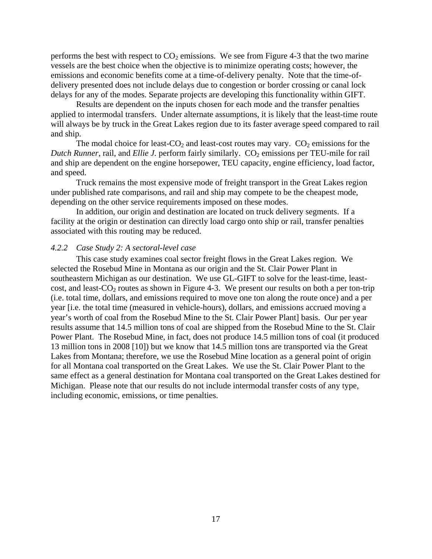performs the best with respect to  $CO<sub>2</sub>$  emissions. We see from Figure 4-3 that the two marine vessels are the best choice when the objective is to minimize operating costs; however, the emissions and economic benefits come at a time-of-delivery penalty. Note that the time-ofdelivery presented does not include delays due to congestion or border crossing or canal lock delays for any of the modes. Separate projects are developing this functionality within GIFT.

Results are dependent on the inputs chosen for each mode and the transfer penalties applied to intermodal transfers. Under alternate assumptions, it is likely that the least-time route will always be by truck in the Great Lakes region due to its faster average speed compared to rail and ship.

The modal choice for least-CO<sub>2</sub> and least-cost routes may vary.  $CO_2$  emissions for the *Dutch Runner*, rail, and *Ellie J.* perform fairly similarly. CO<sub>2</sub> emissions per TEU-mile for rail and ship are dependent on the engine horsepower, TEU capacity, engine efficiency, load factor, and speed.

Truck remains the most expensive mode of freight transport in the Great Lakes region under published rate comparisons, and rail and ship may compete to be the cheapest mode, depending on the other service requirements imposed on these modes.

 In addition, our origin and destination are located on truck delivery segments. If a facility at the origin or destination can directly load cargo onto ship or rail, transfer penalties associated with this routing may be reduced.

#### *4.2.2 Case Study 2: A sectoral-level case*

This case study examines coal sector freight flows in the Great Lakes region. We selected the Rosebud Mine in Montana as our origin and the St. Clair Power Plant in southeastern Michigan as our destination. We use GL-GIFT to solve for the least-time, leastcost, and least- $CO_2$  routes as shown in Figure 4-3. We present our results on both a per ton-trip (i.e. total time, dollars, and emissions required to move one ton along the route once) and a per year [i.e. the total time (measured in vehicle-hours), dollars, and emissions accrued moving a year's worth of coal from the Rosebud Mine to the St. Clair Power Plant] basis. Our per year results assume that 14.5 million tons of coal are shipped from the Rosebud Mine to the St. Clair Power Plant. The Rosebud Mine, in fact, does not produce 14.5 million tons of coal (it produced 13 million tons in 2008 [10]) but we know that 14.5 million tons are transported via the Great Lakes from Montana; therefore, we use the Rosebud Mine location as a general point of origin for all Montana coal transported on the Great Lakes. We use the St. Clair Power Plant to the same effect as a general destination for Montana coal transported on the Great Lakes destined for Michigan. Please note that our results do not include intermodal transfer costs of any type, including economic, emissions, or time penalties.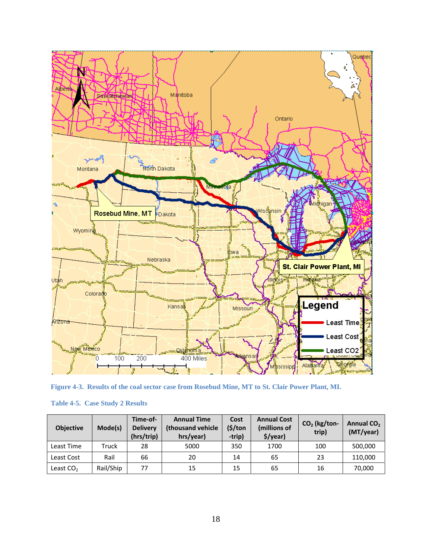

**Figure 4-3. Results of the coal sector case from Rosebud Mine, MT to St. Clair Power Plant, MI.** 

| <b>Table 4-5. Case Study 2 Results</b> |  |  |  |  |
|----------------------------------------|--|--|--|--|
|----------------------------------------|--|--|--|--|

| <b>Objective</b> | Mode(s)   | Time-of-<br><b>Delivery</b><br>(hrs/trip) | <b>Annual Time</b><br>(thousand vehicle)<br>hrs/year) | Cost<br>$(\frac{1}{2})$ ton<br>-trip) | <b>Annual Cost</b><br>(millions of<br>$$$ /year) | $CO2$ (kg/ton-<br>trip) | Annual CO <sub>2</sub><br>(MT/year) |
|------------------|-----------|-------------------------------------------|-------------------------------------------------------|---------------------------------------|--------------------------------------------------|-------------------------|-------------------------------------|
| Least Time       | Truck     | 28                                        | 5000                                                  | 350                                   | 1700                                             | 100                     | 500,000                             |
| Least Cost       | Rail      | 66                                        | 20                                                    | 14                                    | 65                                               | 23                      | 110,000                             |
| Least $CO2$      | Rail/Ship | 77                                        | 15                                                    | 15                                    | 65                                               | 16                      | 70,000                              |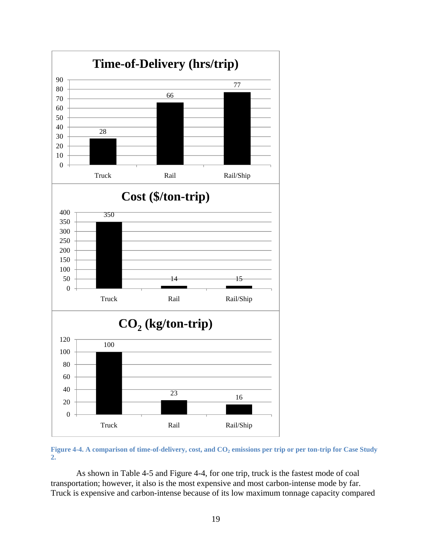

Figure 4-4. A comparison of time-of-delivery, cost, and CO<sub>2</sub> emissions per trip or per ton-trip for Case Study **2.** 

As shown in Table 4-5 and Figure 4-4, for one trip, truck is the fastest mode of coal transportation; however, it also is the most expensive and most carbon-intense mode by far. Truck is expensive and carbon-intense because of its low maximum tonnage capacity compared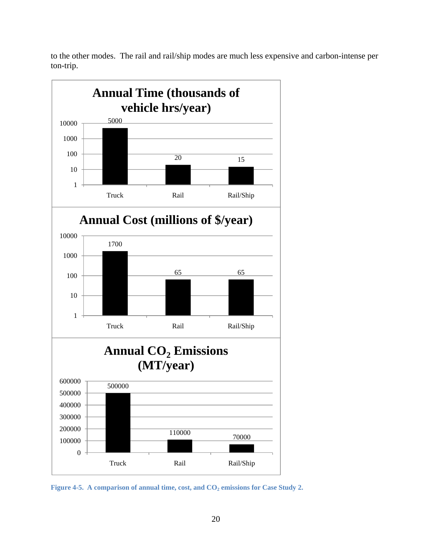to the other modes. The rail and rail/ship modes are much less expensive and carbon-intense per ton-trip.



Figure 4-5. A comparison of annual time, cost, and CO<sub>2</sub> emissions for Case Study 2.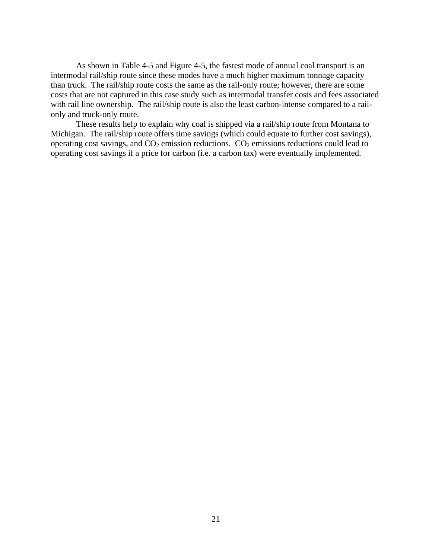As shown in Table 4-5 and Figure 4-5, the fastest mode of annual coal transport is an intermodal rail/ship route since these modes have a much higher maximum tonnage capacity than truck. The rail/ship route costs the same as the rail-only route; however, there are some costs that are not captured in this case study such as intermodal transfer costs and fees associated with rail line ownership. The rail/ship route is also the least carbon-intense compared to a railonly and truck-only route.

These results help to explain why coal is shipped via a rail/ship route from Montana to Michigan. The rail/ship route offers time savings (which could equate to further cost savings), operating cost savings, and  $CO_2$  emission reductions.  $CO_2$  emissions reductions could lead to operating cost savings if a price for carbon (i.e. a carbon tax) were eventually implemented.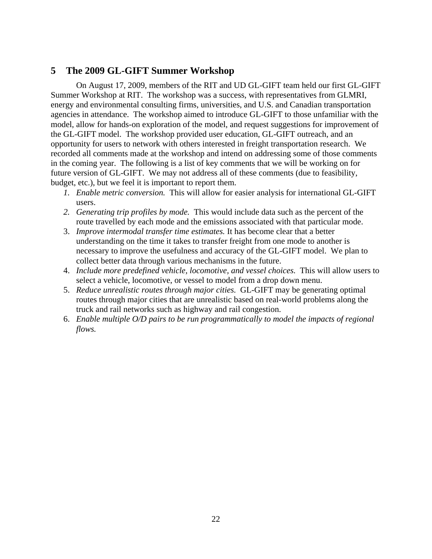## **5 The 2009 GL-GIFT Summer Workshop**

On August 17, 2009, members of the RIT and UD GL-GIFT team held our first GL-GIFT Summer Workshop at RIT. The workshop was a success, with representatives from GLMRI, energy and environmental consulting firms, universities, and U.S. and Canadian transportation agencies in attendance. The workshop aimed to introduce GL-GIFT to those unfamiliar with the model, allow for hands-on exploration of the model, and request suggestions for improvement of the GL-GIFT model. The workshop provided user education, GL-GIFT outreach, and an opportunity for users to network with others interested in freight transportation research. We recorded all comments made at the workshop and intend on addressing some of those comments in the coming year. The following is a list of key comments that we will be working on for future version of GL-GIFT. We may not address all of these comments (due to feasibility, budget, etc.), but we feel it is important to report them.

- *1. Enable metric conversion.* This will allow for easier analysis for international GL-GIFT users.
- *2. Generating trip profiles by mode.* This would include data such as the percent of the route travelled by each mode and the emissions associated with that particular mode.
- 3. *Improve intermodal transfer time estimates.* It has become clear that a better understanding on the time it takes to transfer freight from one mode to another is necessary to improve the usefulness and accuracy of the GL-GIFT model. We plan to collect better data through various mechanisms in the future.
- 4. *Include more predefined vehicle, locomotive, and vessel choices.* This will allow users to select a vehicle, locomotive, or vessel to model from a drop down menu.
- 5. *Reduce unrealistic routes through major cities.* GL-GIFT may be generating optimal routes through major cities that are unrealistic based on real-world problems along the truck and rail networks such as highway and rail congestion.
- 6. *Enable multiple O/D pairs to be run programmatically to model the impacts of regional flows.*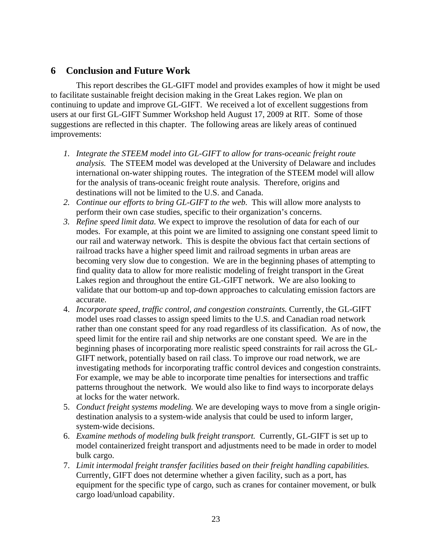## **6 Conclusion and Future Work**

 This report describes the GL-GIFT model and provides examples of how it might be used to facilitate sustainable freight decision making in the Great Lakes region. We plan on continuing to update and improve GL-GIFT. We received a lot of excellent suggestions from users at our first GL-GIFT Summer Workshop held August 17, 2009 at RIT. Some of those suggestions are reflected in this chapter. The following areas are likely areas of continued improvements:

- *1. Integrate the STEEM model into GL-GIFT to allow for trans-oceanic freight route analysis.* The STEEM model was developed at the University of Delaware and includes international on-water shipping routes. The integration of the STEEM model will allow for the analysis of trans-oceanic freight route analysis. Therefore, origins and destinations will not be limited to the U.S. and Canada.
- *2. Continue our efforts to bring GL-GIFT to the web.* This will allow more analysts to perform their own case studies, specific to their organization's concerns.
- *3. Refine speed limit data.* We expect to improve the resolution of data for each of our modes. For example, at this point we are limited to assigning one constant speed limit to our rail and waterway network. This is despite the obvious fact that certain sections of railroad tracks have a higher speed limit and railroad segments in urban areas are becoming very slow due to congestion. We are in the beginning phases of attempting to find quality data to allow for more realistic modeling of freight transport in the Great Lakes region and throughout the entire GL-GIFT network. We are also looking to validate that our bottom-up and top-down approaches to calculating emission factors are accurate.
- 4. *Incorporate speed, traffic control, and congestion constraints.* Currently, the GL-GIFT model uses road classes to assign speed limits to the U.S. and Canadian road network rather than one constant speed for any road regardless of its classification. As of now, the speed limit for the entire rail and ship networks are one constant speed. We are in the beginning phases of incorporating more realistic speed constraints for rail across the GL-GIFT network, potentially based on rail class. To improve our road network, we are investigating methods for incorporating traffic control devices and congestion constraints. For example, we may be able to incorporate time penalties for intersections and traffic patterns throughout the network. We would also like to find ways to incorporate delays at locks for the water network.
- 5. *Conduct freight systems modeling.* We are developing ways to move from a single origindestination analysis to a system-wide analysis that could be used to inform larger, system-wide decisions.
- 6. *Examine methods of modeling bulk freight transport.* Currently, GL-GIFT is set up to model containerized freight transport and adjustments need to be made in order to model bulk cargo.
- 7. *Limit intermodal freight transfer facilities based on their freight handling capabilities.* Currently, GIFT does not determine whether a given facility, such as a port, has equipment for the specific type of cargo, such as cranes for container movement, or bulk cargo load/unload capability.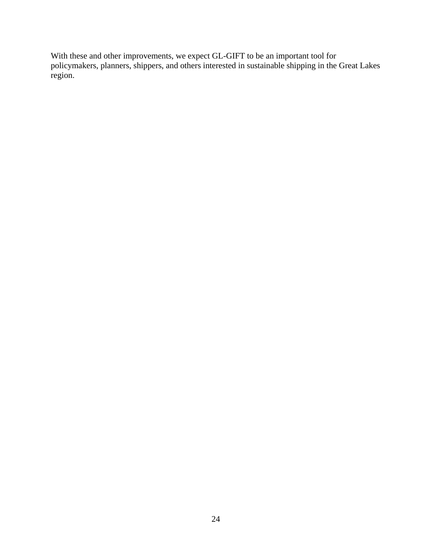With these and other improvements, we expect GL-GIFT to be an important tool for policymakers, planners, shippers, and others interested in sustainable shipping in the Great Lakes region.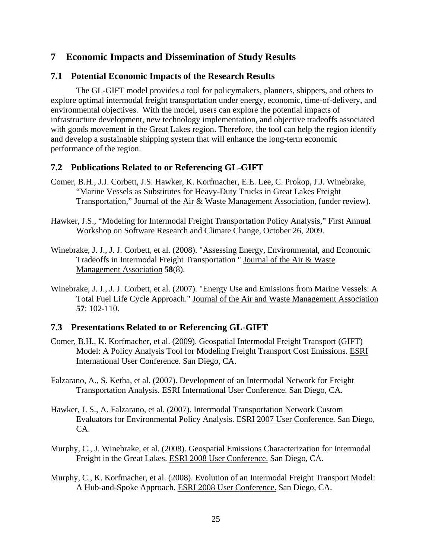## **7 Economic Impacts and Dissemination of Study Results**

### **7.1 Potential Economic Impacts of the Research Results**

The GL-GIFT model provides a tool for policymakers, planners, shippers, and others to explore optimal intermodal freight transportation under energy, economic, time-of-delivery, and environmental objectives. With the model, users can explore the potential impacts of infrastructure development, new technology implementation, and objective tradeoffs associated with goods movement in the Great Lakes region. Therefore, the tool can help the region identify and develop a sustainable shipping system that will enhance the long-term economic performance of the region.

### **7.2 Publications Related to or Referencing GL-GIFT**

- Comer, B.H., J.J. Corbett, J.S. Hawker, K. Korfmacher, E.E. Lee, C. Prokop, J.J. Winebrake, "Marine Vessels as Substitutes for Heavy-Duty Trucks in Great Lakes Freight Transportation," Journal of the Air & Waste Management Association, (under review).
- Hawker, J.S., "Modeling for Intermodal Freight Transportation Policy Analysis," First Annual Workshop on Software Research and Climate Change, October 26, 2009.
- Winebrake, J. J., J. J. Corbett, et al. (2008). "Assessing Energy, Environmental, and Economic Tradeoffs in Intermodal Freight Transportation " Journal of the Air & Waste Management Association **58**(8).
- Winebrake, J. J., J. J. Corbett, et al. (2007). "Energy Use and Emissions from Marine Vessels: A Total Fuel Life Cycle Approach." Journal of the Air and Waste Management Association **57**: 102-110.

## **7.3 Presentations Related to or Referencing GL-GIFT**

Comer, B.H., K. Korfmacher, et al. (2009). Geospatial Intermodal Freight Transport (GIFT) Model: A Policy Analysis Tool for Modeling Freight Transport Cost Emissions. ESRI International User Conference. San Diego, CA.

Falzarano, A., S. Ketha, et al. (2007). Development of an Intermodal Network for Freight Transportation Analysis. ESRI International User Conference. San Diego, CA.

- Hawker, J. S., A. Falzarano, et al. (2007). Intermodal Transportation Network Custom Evaluators for Environmental Policy Analysis. ESRI 2007 User Conference. San Diego, CA.
- Murphy, C., J. Winebrake, et al. (2008). Geospatial Emissions Characterization for Intermodal Freight in the Great Lakes. ESRI 2008 User Conference. San Diego, CA.
- Murphy, C., K. Korfmacher, et al. (2008). Evolution of an Intermodal Freight Transport Model: A Hub-and-Spoke Approach. ESRI 2008 User Conference. San Diego, CA.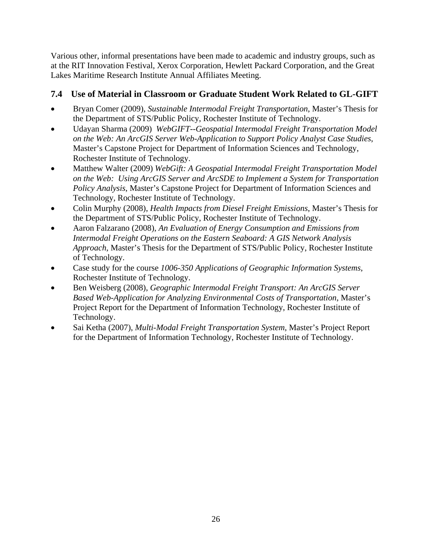Various other, informal presentations have been made to academic and industry groups, such as at the RIT Innovation Festival, Xerox Corporation, Hewlett Packard Corporation, and the Great Lakes Maritime Research Institute Annual Affiliates Meeting.

## **7.4 Use of Material in Classroom or Graduate Student Work Related to GL-GIFT**

- Bryan Comer (2009), *Sustainable Intermodal Freight Transportation*, Master's Thesis for the Department of STS/Public Policy, Rochester Institute of Technology.
- Udayan Sharma (2009) *WebGIFT--Geospatial Intermodal Freight Transportation Model on the Web: An ArcGIS Server Web-Application to Support Policy Analyst Case Studies*, Master's Capstone Project for Department of Information Sciences and Technology, Rochester Institute of Technology.
- Matthew Walter (2009) *WebGift: A Geospatial Intermodal Freight Transportation Model on the Web: Using ArcGIS Server and ArcSDE to Implement a System for Transportation Policy Analysis*, Master's Capstone Project for Department of Information Sciences and Technology, Rochester Institute of Technology.
- Colin Murphy (2008), *Health Impacts from Diesel Freight Emissions*, Master's Thesis for the Department of STS/Public Policy, Rochester Institute of Technology.
- Aaron Falzarano (2008), *An Evaluation of Energy Consumption and Emissions from Intermodal Freight Operations on the Eastern Seaboard: A GIS Network Analysis Approach*, Master's Thesis for the Department of STS/Public Policy, Rochester Institute of Technology.
- Case study for the course *1006-350 Applications of Geographic Information Systems*, Rochester Institute of Technology.
- Ben Weisberg (2008), *Geographic Intermodal Freight Transport: An ArcGIS Server Based Web-Application for Analyzing Environmental Costs of Transportation*, Master's Project Report for the Department of Information Technology, Rochester Institute of Technology.
- Sai Ketha (2007), *Multi-Modal Freight Transportation System*, Master's Project Report for the Department of Information Technology, Rochester Institute of Technology.